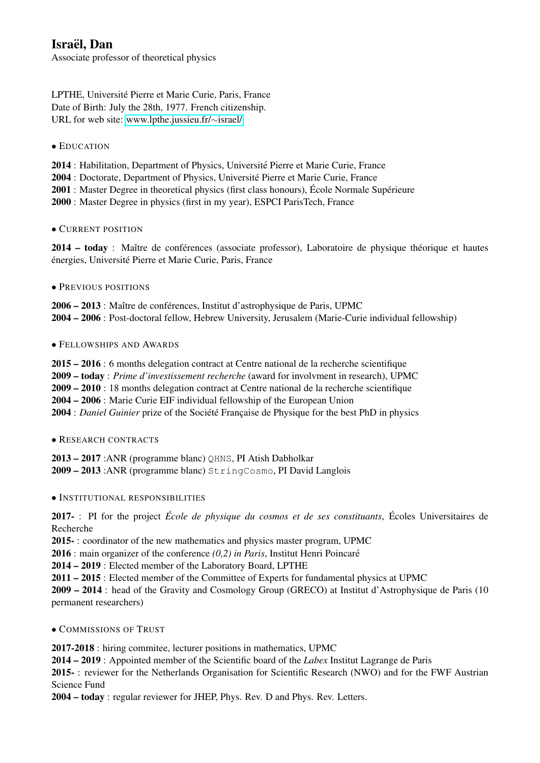# Israël, Dan

Associate professor of theoretical physics

LPTHE, Universite Pierre et Marie Curie, Paris, France ´ Date of Birth: July the 28th, 1977. French citizenship. URL for web site: [www.lpthe.jussieu.fr/](http://www.lpthe.jussieu.fr/~israel/)∼israel/

• EDUCATION

2014 : Habilitation, Department of Physics, Universite Pierre et Marie Curie, France ´

2004 : Doctorate, Department of Physics, Université Pierre et Marie Curie, France

2001 : Master Degree in theoretical physics (first class honours), École Normale Supérieure

2000 : Master Degree in physics (first in my year), ESPCI ParisTech, France

# • CURRENT POSITION

2014 – today : Maître de conférences (associate professor), Laboratoire de physique théorique et hautes énergies, Université Pierre et Marie Curie, Paris, France

# • PREVIOUS POSITIONS

2006 – 2013 : Maître de conférences, Institut d'astrophysique de Paris, UPMC 2004 – 2006 : Post-doctoral fellow, Hebrew University, Jerusalem (Marie-Curie individual fellowship)

# • FELLOWSHIPS AND AWARDS

2015 – 2016 : 6 months delegation contract at Centre national de la recherche scientifique 2009 – today : *Prime d'investissement recherche* (award for involvment in research), UPMC 2009 – 2010 : 18 months delegation contract at Centre national de la recherche scientifique 2004 – 2006 : Marie Curie EIF individual fellowship of the European Union 2004 : *Daniel Guinier* prize of the Société Française de Physique for the best PhD in physics

# • RESEARCH CONTRACTS

2013 – 2017 :ANR (programme blanc) QHNS, PI Atish Dabholkar 2009 – 2013 :ANR (programme blanc) StringCosmo, PI David Langlois

# • INSTITUTIONAL RESPONSIBILITIES

2017- : PI for the project *École de physique du cosmos et de ses constituants*, Écoles Universitaires de Recherche

2015- : coordinator of the new mathematics and physics master program, UPMC

2016 : main organizer of the conference *(0,2) in Paris*, Institut Henri Poincare´

2014 – 2019 : Elected member of the Laboratory Board, LPTHE

2011 – 2015 : Elected member of the Committee of Experts for fundamental physics at UPMC

2009 – 2014 : head of the Gravity and Cosmology Group (GRECO) at Institut d'Astrophysique de Paris (10 permanent researchers)

• COMMISSIONS OF TRUST

2017-2018 : hiring commitee, lecturer positions in mathematics, UPMC

2014 – 2019 : Appointed member of the Scientific board of the *Labex* Institut Lagrange de Paris

2015- : reviewer for the Netherlands Organisation for Scientific Research (NWO) and for the FWF Austrian Science Fund

2004 – today : regular reviewer for JHEP, Phys. Rev. D and Phys. Rev. Letters.